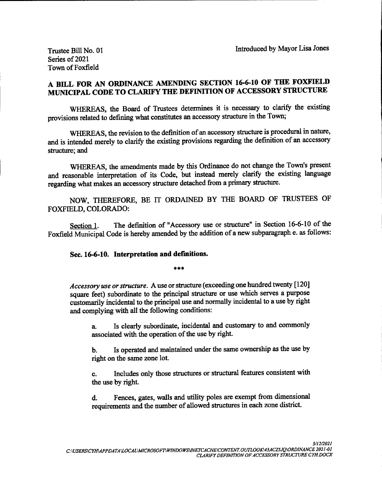Trustee Bill No. 01 Introduced by Mayor Lisa Jones

Series of 2021 Town of Foxfield

## A BILL FOR AN ORDINANCE AMENDING SECTION 16-6-10 OF THE FOXFIELD MUNICIPAL CODE TO CLARIFY THE DEFINITION OF ACCESSORY STRUCTURE

WHEREAS, the Board of Trustees determines it is necessary to clarify the existing provisions related to defining what constitutes an accessory structure in the Town;

WHEREAS, the revision to the definition of an accessory structure is procedural in nature, and is intended merely to clarify the existing provisions regarding the definition of an accessory structure; and

WHEREAS, the amendments made by this Ordinance do not change the Town's present and reasonable interpretation of its Code, but instead merely clarify the existing language regarding what makes an accessory structure detached from a primary structure.

NOW, THEREFORE, BE IT ORDAINED BY THE BOARD OF TRUSTEES OF FOXFIELD, COLORADO:

Section 1. The definition of "Accessory use or structure" in Section 16-6-10 of the Foxfield Municipal Code is hereby amended by the addition of <sup>a</sup> new subparagraph e. as follows:

## Sec. 16-6-10. Interpretation and definitions.

\*\*\*

Accessory use or structure. A use or structure (exceeding one hundred twenty [120] square feet) subordinate to the principal structure or use which serves a purpose customarily incidental to the principal use and normally incidental to a use by right and complying with all the following conditions:

a. Is clearly subordinate, incidental and customary to and commonly associated with the operation of the use by right.

b. Is operated and maintained under the same ownership as the use by right on the same zone lot.

c. Includes only those structures or structural features consistent with the use by right.

d. Fences, gates, walls and utility poles are exempt from dimensional requirements and the number of allowed structures in each zone district.